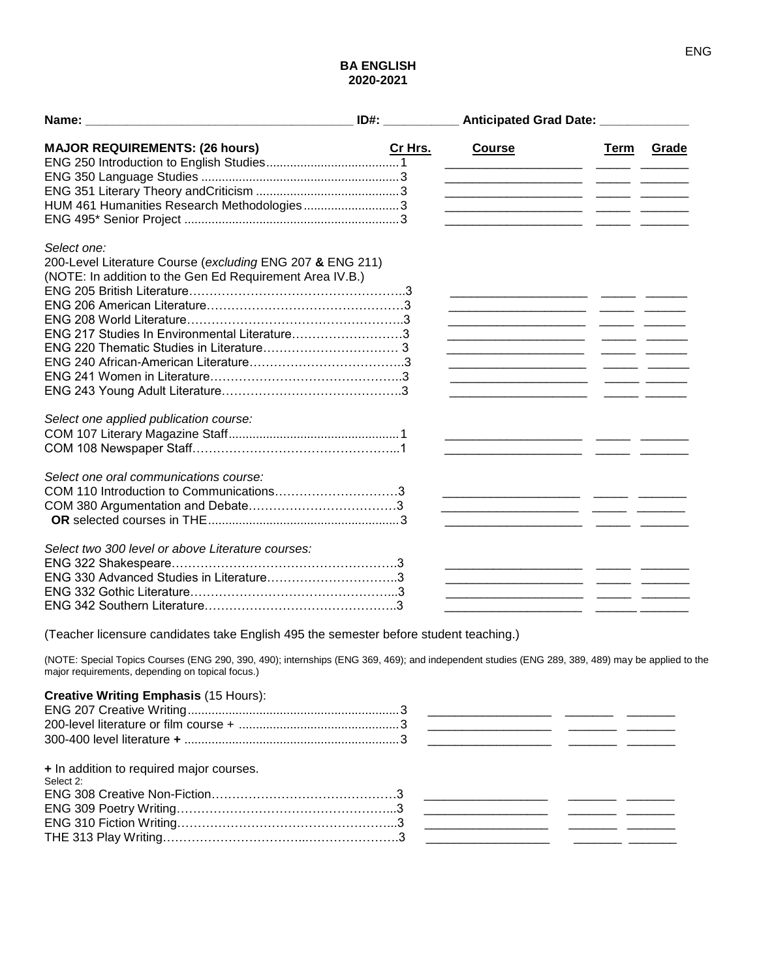## **BA ENGLISH 2020-2021**

|                                                                                                                                                                                                      | $ID#$ : | Anticipated Grad Date: _____________                                                                                  |      |       |
|------------------------------------------------------------------------------------------------------------------------------------------------------------------------------------------------------|---------|-----------------------------------------------------------------------------------------------------------------------|------|-------|
| <b>MAJOR REQUIREMENTS: (26 hours)</b>                                                                                                                                                                | Cr Hrs. | <b>Course</b>                                                                                                         | Term | Grade |
|                                                                                                                                                                                                      |         | <u> 1980 - Johann Barbara, martin da basar da basar da basar da basar da basar da basar da basar da basar da basa</u> |      |       |
|                                                                                                                                                                                                      |         |                                                                                                                       |      |       |
| HUM 461 Humanities Research Methodologies3                                                                                                                                                           |         |                                                                                                                       |      |       |
|                                                                                                                                                                                                      |         |                                                                                                                       |      |       |
| Select one:                                                                                                                                                                                          |         |                                                                                                                       |      |       |
| 200-Level Literature Course (excluding ENG 207 & ENG 211)                                                                                                                                            |         |                                                                                                                       |      |       |
| (NOTE: In addition to the Gen Ed Requirement Area IV.B.)                                                                                                                                             |         |                                                                                                                       |      |       |
|                                                                                                                                                                                                      |         | <u> 1999 - Johann John Hermer, mars and de Franc</u>                                                                  |      |       |
|                                                                                                                                                                                                      |         |                                                                                                                       |      |       |
|                                                                                                                                                                                                      |         | <u> 1999 - Johann Marie Marie (b. 1989)</u>                                                                           |      |       |
| ENG 217 Studies In Environmental Literature3                                                                                                                                                         |         | <u> 1990 - Johann John Hermer, mars eta erroman erroman (h. 1900).</u>                                                |      |       |
|                                                                                                                                                                                                      |         |                                                                                                                       |      |       |
|                                                                                                                                                                                                      |         |                                                                                                                       |      |       |
|                                                                                                                                                                                                      |         | <u> 1989 - Johann Marie Barn, mars an t-Amerikaansk kommunist (</u>                                                   |      |       |
|                                                                                                                                                                                                      |         |                                                                                                                       |      |       |
| Select one applied publication course:                                                                                                                                                               |         |                                                                                                                       |      |       |
|                                                                                                                                                                                                      |         |                                                                                                                       |      |       |
|                                                                                                                                                                                                      |         |                                                                                                                       |      |       |
| Select one oral communications course:                                                                                                                                                               |         |                                                                                                                       |      |       |
| COM 110 Introduction to Communications3                                                                                                                                                              |         | <u> 1990 - Johann John Hermann, francouz francouz</u>                                                                 |      |       |
|                                                                                                                                                                                                      |         |                                                                                                                       |      |       |
|                                                                                                                                                                                                      |         |                                                                                                                       |      |       |
| Select two 300 level or above Literature courses:                                                                                                                                                    |         |                                                                                                                       |      |       |
|                                                                                                                                                                                                      |         |                                                                                                                       |      |       |
|                                                                                                                                                                                                      |         | <u> 1980 - Jan Barnett, mars eta inportantziar eta inportantzia (h. 1980).</u>                                        |      |       |
|                                                                                                                                                                                                      |         |                                                                                                                       |      |       |
|                                                                                                                                                                                                      |         |                                                                                                                       |      |       |
|                                                                                                                                                                                                      |         |                                                                                                                       |      |       |
| (Teacher licensure candidates take English 495 the semester before student teaching.)                                                                                                                |         |                                                                                                                       |      |       |
| (NOTE: Special Topics Courses (ENG 290, 390, 490); internships (ENG 369, 469); and independent studies (ENG 289, 389, 489) may be applied to the<br>major requirements, depending on topical focus.) |         |                                                                                                                       |      |       |
|                                                                                                                                                                                                      |         |                                                                                                                       |      |       |

## **Creative Writing Emphasis** (15 Hours): ENG 207 Creative Writing..............................................................3 \_\_\_\_\_\_\_\_\_\_\_\_\_\_\_\_\_\_ \_\_\_\_\_\_\_ \_\_\_\_\_\_\_ 200-level literature or film course + ...............................................3 \_\_\_\_\_\_\_\_\_\_\_\_\_\_\_\_\_\_ \_\_\_\_\_\_\_ \_\_\_\_\_\_\_ 300-400 level literature **+** ...............................................................3 \_\_\_\_\_\_\_\_\_\_\_\_\_\_\_\_\_\_ \_\_\_\_\_\_\_ \_\_\_\_\_\_\_ **+** In addition to required major courses. Select 2: ENG 308 Creative Non-Fiction………………………………………3 \_\_\_\_\_\_\_\_\_\_\_\_\_\_\_\_\_\_ \_\_\_\_\_\_\_ \_\_\_\_\_\_\_ ENG 309 Poetry Writing………………………………………………………3 ENG 310 Fiction Writing……………………………………………...3 \_\_\_\_\_\_\_\_\_\_\_\_\_\_\_\_\_\_ \_\_\_\_\_\_\_ \_\_\_\_\_\_\_ THE 313 Play Writing……………………………...………………….3 \_\_\_\_\_\_\_\_\_\_\_\_\_\_\_\_\_\_ \_\_\_\_\_\_\_ \_\_\_\_\_\_\_